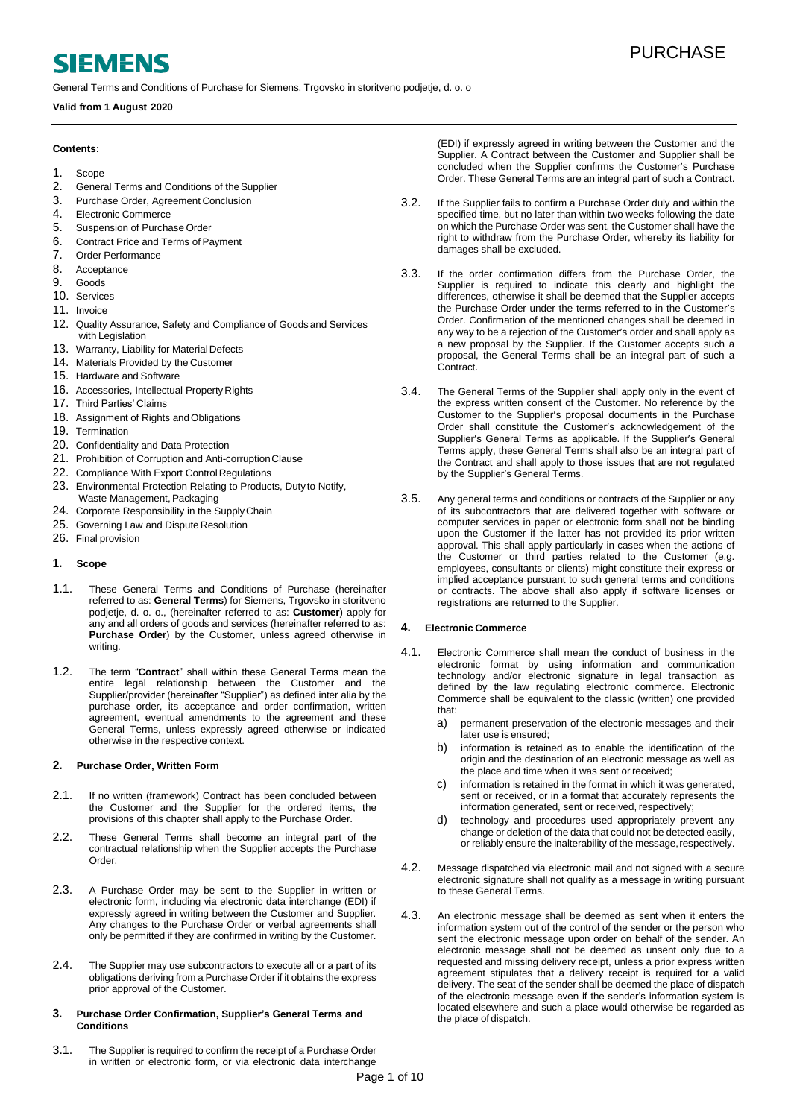# **SIEMENS**

General Terms and Conditions of Purchase for Siemens, Trgovsko in storitveno podjetje, d. o. o

## **Valid from 1 August 2020**

## **Contents:**

## 1. [Scope](#page-0-0)

- 2. General Terms and Conditions of the Supplier
- 3. [Purchase Order, Agreement](#page-0-2) Conclusion<br>4. Flectronic Commerce
- 4. Electronic [Commerce](#page-0-3)<br>5. Suspension of Purcha
- [Suspension of Purchase](#page-1-0) Order
- 6. [Contract Price and Terms of](#page-1-1) Payment<br>7 Order Performance
- 7. Order [Performance](#page-1-2)<br>8. Acceptance
- 8. Acceptance<br>9. Goods
- [Goods](#page-2-0) 10. [Services](#page-2-1)
- 11. [Invoice](#page-3-0)
- 
- 12. [Quality Assurance, Safety and Compliance of Goods](#page-3-1) and [Services](#page-3-1)  with [Legislation](#page-3-1)
- 13. [Warranty, Liability for Material](#page-3-2) Defects
- 14. [Materials Provided by the](#page-4-0) Customer
- 15. [Hardware and](#page-4-0) Software
- 16. [Accessories, Intellectual Property](#page-5-0) Rights
- 17. [Third Parties'](#page-5-1) Claims
- 18. [Assignment of Rights andObligations](#page-5-1)
- 19. [Termination](#page-5-2)
- 20. [Confidentiality](#page-8-0) and Data Protection
- 21. [Prohibition of Corruption and Anti-corruptionClause](#page-6-0)
- 22. Compliance With Export Control Regulations
- 23. [Environmental Protection Relating to Products, Duty](#page-7-0) to [Notify,](#page-7-0)  [Waste Management,](#page-7-0) Packaging
- 24. [Corporate Responsibility in the SupplyChain](#page-7-1)
- 25. [Governing Law and Dispute](#page-8-2) Resolution
- 26. Final [provision](#page-9-0)

## <span id="page-0-0"></span>**1. Scope**

- 1.1. These General Terms and Conditions of Purchase (hereinafter referred to as: **General Terms**) for Siemens, Trgovsko in storitveno podjetje, d. o. o., (hereinafter referred to as: **Customer**) apply for any and all orders of goods and services (hereinafter referred to as: **Purchase Order**) by the Customer, unless agreed otherwise in writing.
- 1.2. The term "**Contract**" shall within these General Terms mean the entire legal relationship between the Customer and the Supplier/provider (hereinafter "Supplier") as defined inter alia by the purchase order, its acceptance and order confirmation, written agreement, eventual amendments to the agreement and these General Terms, unless expressly agreed otherwise or indicated otherwise in the respective context.

## <span id="page-0-1"></span>**2. Purchase Order, Written Form**

- 2.1. If no written (framework) Contract has been concluded between the Customer and the Supplier for the ordered items, the provisions of this chapter shall apply to the Purchase Order.
- 2.2. These General Terms shall become an integral part of the contractual relationship when the Supplier accepts the Purchase Order.
- 2.3. A Purchase Order may be sent to the Supplier in written or electronic form, including via electronic data interchange (EDI) if expressly agreed in writing between the Customer and Supplier. Any changes to the Purchase Order or verbal agreements shall only be permitted if they are confirmed in writing by the Customer.
- 2.4. The Supplier may use subcontractors to execute all or a part of its obligations deriving from a Purchase Order if it obtains the express prior approval of the Customer.

#### <span id="page-0-2"></span>**3. Purchase Order Confirmation, Supplier's General Terms and Conditions**

3.1. The Supplier is required to confirm the receipt of a Purchase Order in written or electronic form, or via electronic data interchange

(EDI) if expressly agreed in writing between the Customer and the Supplier. A Contract between the Customer and Supplier shall be concluded when the Supplier confirms the Customer's Purchase Order. These General Terms are an integral part of such a Contract.

- 3.2. If the Supplier fails to confirm a Purchase Order duly and within the specified time, but no later than within two weeks following the date on which the Purchase Order was sent, the Customer shall have the right to withdraw from the Purchase Order, whereby its liability for damages shall be excluded.
- 3.3. If the order confirmation differs from the Purchase Order, the Supplier is required to indicate this clearly and highlight the differences, otherwise it shall be deemed that the Supplier accepts the Purchase Order under the terms referred to in the Customer's Order. Confirmation of the mentioned changes shall be deemed in any way to be a rejection of the Customer's order and shall apply as a new proposal by the Supplier. If the Customer accepts such a proposal, the General Terms shall be an integral part of such a Contract.
- 3.4. The General Terms of the Supplier shall apply only in the event of the express written consent of the Customer. No reference by the Customer to the Supplier's proposal documents in the Purchase Order shall constitute the Customer's acknowledgement of the Supplier's General Terms as applicable. If the Supplier's General Terms apply, these General Terms shall also be an integral part of the Contract and shall apply to those issues that are not regulated by the Supplier's General Terms.
- 3.5. Any general terms and conditions or contracts of the Supplier or any of its subcontractors that are delivered together with software or computer services in paper or electronic form shall not be binding upon the Customer if the latter has not provided its prior written approval. This shall apply particularly in cases when the actions of the Customer or third parties related to the Customer (e.g. employees, consultants or clients) might constitute their express or implied acceptance pursuant to such general terms and conditions or contracts. The above shall also apply if software licenses or registrations are returned to the Supplier.

## <span id="page-0-3"></span>**4. Electronic Commerce**

- 4.1. Electronic Commerce shall mean the conduct of business in the electronic format by using information and communication technology and/or electronic signature in legal transaction as defined by the law regulating electronic commerce. Electronic Commerce shall be equivalent to the classic (written) one provided that:
	- a) permanent preservation of the electronic messages and their later use is ensured;
	- b) information is retained as to enable the identification of the origin and the destination of an electronic message as well as the place and time when it was sent or received;
	- c) information is retained in the format in which it was generated, sent or received, or in a format that accurately represents the information generated, sent or received, respectively;
	- d) technology and procedures used appropriately prevent any change or deletion of the data that could not be detected easily, or reliably ensure the inalterability of the message, respectively.
- 4.2. Message dispatched via electronic mail and not signed with a secure electronic signature shall not qualify as a message in writing pursuant to these General Terms.
- 4.3. An electronic message shall be deemed as sent when it enters the information system out of the control of the sender or the person who sent the electronic message upon order on behalf of the sender. An electronic message shall not be deemed as unsent only due to a requested and missing delivery receipt, unless a prior express written agreement stipulates that a delivery receipt is required for a valid delivery. The seat of the sender shall be deemed the place of dispatch of the electronic message even if the sender's information system is located elsewhere and such a place would otherwise be regarded as the place of dispatch.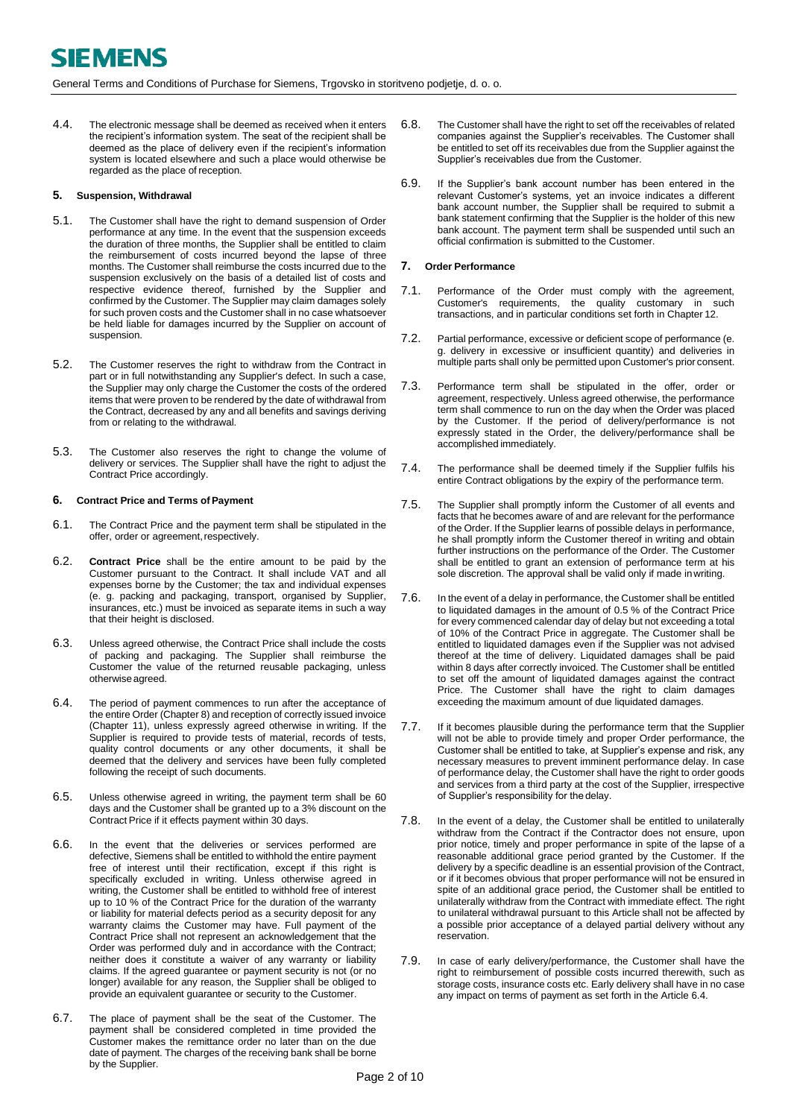4.4. The electronic message shall be deemed as received when it enters the recipient's information system. The seat of the recipient shall be deemed as the place of delivery even if the recipient's information system is located elsewhere and such a place would otherwise be regarded as the place of reception.

## <span id="page-1-0"></span>**5. Suspension, Withdrawal**

- 5.1. The Customer shall have the right to demand suspension of Order performance at any time. In the event that the suspension exceeds the duration of three months, the Supplier shall be entitled to claim the reimbursement of costs incurred beyond the lapse of three months. The Customer shall reimburse the costs incurred due to the suspension exclusively on the basis of a detailed list of costs and respective evidence thereof, furnished by the Supplier and confirmed by the Customer. The Supplier may claim damages solely for such proven costs and the Customer shall in no case whatsoever be held liable for damages incurred by the Supplier on account of suspension.
- 5.2. The Customer reserves the right to withdraw from the Contract in part or in full notwithstanding any Supplier's defect. In such a case, the Supplier may only charge the Customer the costs of the ordered items that were proven to be rendered by the date of withdrawal from the Contract, decreased by any and all benefits and savings deriving from or relating to the withdrawal.
- 5.3. The Customer also reserves the right to change the volume of delivery or services. The Supplier shall have the right to adjust the Contract Price accordingly.

## <span id="page-1-1"></span>**6.** Contract Price and Terms of Payment

- 6.1. The Contract Price and the payment term shall be stipulated in the offer, order or agreement, respectively.
- <span id="page-1-7"></span>6.2. **Contract Price** shall be the entire amount to be paid by the Customer pursuant to the Contract. It shall include VAT and all expenses borne by the Customer; the tax and individual expenses (e. g. packing and packaging, transport, organised by Supplier, insurances, etc.) must be invoiced as separate items in such a way that their height is disclosed.
- 6.3. Unless agreed otherwise, the Contract Price shall include the costs of packing and packaging. The Supplier shall reimburse the Customer the value of the returned reusable packaging, unless otherwiseagreed.
- <span id="page-1-3"></span>6.4. The period of payment commences to run after the acceptance of the entire Order (Chapter 8) and reception of correctly issued invoice (Chapter [11\),](#page-3-0) unless expressly agreed otherwise in writing. If the Supplier is required to provide tests of material, records of tests, quality control documents or any other documents, it shall be deemed that the delivery and services have been fully completed following the receipt of such documents.
- 6.5. Unless otherwise agreed in writing, the payment term shall be 60 days and the Customer shall be granted up to a 3% discount on the Contract Price if it effects payment within 30 days.
- 6.6. In the event that the deliveries or services performed are defective, Siemens shall be entitled to withhold the entire payment free of interest until their rectification, except if this right is specifically excluded in writing. Unless otherwise agreed in writing, the Customer shall be entitled to withhold free of interest up to 10 % of the Contract Price for the duration of the warranty or liability for material defects period as a security deposit for any warranty claims the Customer may have. Full payment of the Contract Price shall not represent an acknowledgement that the Order was performed duly and in accordance with the Contract; neither does it constitute a waiver of any warranty or liability claims. If the agreed guarantee or payment security is not (or no longer) available for any reason, the Supplier shall be obliged to provide an equivalent guarantee or security to the Customer.
- 6.7. The place of payment shall be the seat of the Customer. The payment shall be considered completed in time provided the Customer makes the remittance order no later than on the due date of payment. The charges of the receiving bank shall be borne by the Supplier.
- 6.8. The Customer shall have the right to set off the receivables of related companies against the Supplier's receivables. The Customer shall be entitled to set off its receivables due from the Supplier against the Supplier's receivables due from the Customer.
- 6.9. If the Supplier's bank account number has been entered in the relevant Customer's systems, yet an invoice indicates a different bank account number, the Supplier shall be required to submit a bank statement confirming that the Supplier is the holder of this new bank account. The payment term shall be suspended until such an official confirmation is submitted to the Customer.

## <span id="page-1-2"></span>**7. Order Performance**

- <span id="page-1-4"></span>7.1. Performance of the Order must comply with the agreement, Customer's requirements, the quality customary in such transactions, and in particular conditions set forth in Chapter [12.](#page-3-1)
- <span id="page-1-5"></span>7.2. Partial performance, excessive or deficient scope of performance (e. g. delivery in excessive or insufficient quantity) and deliveries in multiple parts shall only be permitted upon Customer's prior consent.
- <span id="page-1-6"></span>7.3. Performance term shall be stipulated in the offer, order or agreement, respectively. Unless agreed otherwise, the performance term shall commence to run on the day when the Order was placed by the Customer. If the period of delivery/performance is not expressly stated in the Order, the delivery/performance shall be accomplished immediately.
- 7.4. The performance shall be deemed timely if the Supplier fulfils his entire Contract obligations by the expiry of the performance term.
- 7.5. The Supplier shall promptly inform the Customer of all events and facts that he becomes aware of and are relevant for the performance of the Order. If the Supplier learns of possible delays in performance, he shall promptly inform the Customer thereof in writing and obtain further instructions on the performance of the Order. The Customer shall be entitled to grant an extension of performance term at his sole discretion. The approval shall be valid only if made in writing.
- 7.6. In the event of a delay in performance, the Customer shall be entitled to liquidated damages in the amount of 0.5 % of the Contract Price for every commenced calendar day of delay but not exceeding a total of 10% of the Contract Price in aggregate. The Customer shall be entitled to liquidated damages even if the Supplier was not advised thereof at the time of delivery. Liquidated damages shall be paid within 8 days after correctly invoiced. The Customer shall be entitled to set off the amount of liquidated damages against the contract Price. The Customer shall have the right to claim damages exceeding the maximum amount of due liquidated damages.
- 7.7. If it becomes plausible during the performance term that the Supplier will not be able to provide timely and proper Order performance, the Customer shall be entitled to take, at Supplier's expense and risk, any necessary measures to prevent imminent performance delay. In case of performance delay, the Customer shall have the right to order goods and services from a third party at the cost of the Supplier, irrespective of Supplier's responsibility for the delay.
- 7.8. In the event of a delay, the Customer shall be entitled to unilaterally withdraw from the Contract if the Contractor does not ensure, upon prior notice, timely and proper performance in spite of the lapse of a reasonable additional grace period granted by the Customer. If the delivery by a specific deadline is an essential provision of the Contract, or if it becomes obvious that proper performance will not be ensured in spite of an additional grace period, the Customer shall be entitled to unilaterally withdraw from the Contract with immediate effect. The right to unilateral withdrawal pursuant to this Article shall not be affected by a possible prior acceptance of a delayed partial delivery without any reservation.
- 7.9. In case of early delivery/performance, the Customer shall have the right to reimbursement of possible costs incurred therewith, such as storage costs, insurance costs etc. Early delivery shall have in no case any impact on terms of payment as set forth in the Articl[e 6.4.](#page-1-3)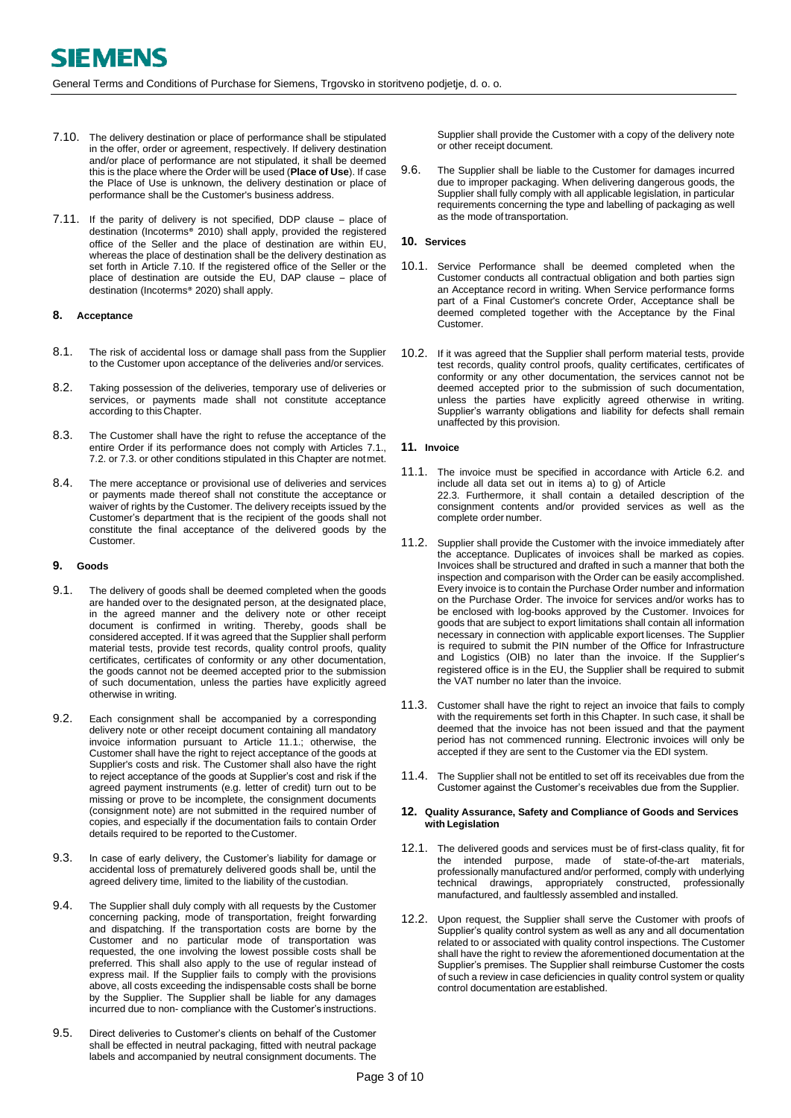- <span id="page-2-3"></span><span id="page-2-2"></span>7.10. The delivery destination or place of performance shall be stipulated in the offer, order or agreement, respectively. If delivery destination and/or place of performance are not stipulated, it shall be deemed this is the place where the Order will be used (**Place of Use**). If case the Place of Use is unknown, the delivery destination or place of performance shall be the Customer's business address.
- 7.11. If the parity of delivery is not specified, DDP clause place of destination (Incoterms® 2010) shall apply, provided the registered office of the Seller and the place of destination are within EU, whereas the place of destination shall be the delivery destination as set forth in Article [7.10.](#page-2-2) If the registered office of the Seller or the place of destination are outside the EU, DAP clause – place of destination (Incoterms® 2020) shall apply.

## **8. Acceptance**

- 8.1. The risk of accidental loss or damage shall pass from the Supplier to the Customer upon acceptance of the deliveries and/or services.
- 8.2. Taking possession of the deliveries, temporary use of deliveries or services, or payments made shall not constitute acceptance according to this Chapter.
- 8.3. The Customer shall have the right to refuse the acceptance of the entire Order if its performance does not comply with Articles [7.1.,](#page-1-4) [7.2.](#page-1-5) o[r 7.3.](#page-1-6) or other conditions stipulated in this Chapter are notmet.
- 8.4. The mere acceptance or provisional use of deliveries and services or payments made thereof shall not constitute the acceptance or waiver of rights by the Customer. The delivery receipts issued by the Customer's department that is the recipient of the goods shall not constitute the final acceptance of the delivered goods by the Customer.

#### <span id="page-2-0"></span>**9. Goods**

- 9.1. The delivery of goods shall be deemed completed when the goods are handed over to the designated person, at the designated place, in the agreed manner and the delivery note or other receipt document is confirmed in writing. Thereby, goods shall be considered accepted. If it was agreed that the Supplier shall perform material tests, provide test records, quality control proofs, quality certificates, certificates of conformity or any other documentation, the goods cannot not be deemed accepted prior to the submission of such documentation, unless the parties have explicitly agreed otherwise in writing.
- 9.2. Each consignment shall be accompanied by a corresponding delivery note or other receipt document containing all mandatory invoice information pursuant to Article 11.1.; otherwise, the Customer shall have the right to reject acceptance of the goods at Supplier's costs and risk. The Customer shall also have the right to reject acceptance of the goods at Supplier's cost and risk if the agreed payment instruments (e.g. letter of credit) turn out to be missing or prove to be incomplete, the consignment documents (consignment note) are not submitted in the required number of copies, and especially if the documentation fails to contain Order details required to be reported to theCustomer.
- 9.3. In case of early delivery, the Customer's liability for damage or accidental loss of prematurely delivered goods shall be, until the agreed delivery time, limited to the liability of the custodian.
- 9.4. The Supplier shall duly comply with all requests by the Customer concerning packing, mode of transportation, freight forwarding and dispatching. If the transportation costs are borne by the Customer and no particular mode of transportation was requested, the one involving the lowest possible costs shall be preferred. This shall also apply to the use of regular instead of express mail. If the Supplier fails to comply with the provisions above, all costs exceeding the indispensable costs shall be borne by the Supplier. The Supplier shall be liable for any damages incurred due to non- compliance with the Customer's instructions.
- 9.5. Direct deliveries to Customer's clients on behalf of the Customer shall be effected in neutral packaging, fitted with neutral package labels and accompanied by neutral consignment documents. The

Supplier shall provide the Customer with a copy of the delivery note or other receipt document.

9.6. The Supplier shall be liable to the Customer for damages incurred due to improper packaging. When delivering dangerous goods, the Supplier shall fully comply with all applicable legislation, in particular requirements concerning the type and labelling of packaging as well as the mode of transportation.

## <span id="page-2-1"></span>**10. Services**

- 10.1. Service Performance shall be deemed completed when the Customer conducts all contractual obligation and both parties sign an Acceptance record in writing. When Service performance forms part of a Final Customer's concrete Order, Acceptance shall be deemed completed together with the Acceptance by the Final Customer.
- 10.2. If it was agreed that the Supplier shall perform material tests, provide test records, quality control proofs, quality certificates, certificates of conformity or any other documentation, the services cannot not be deemed accepted prior to the submission of such documentation, unless the parties have explicitly agreed otherwise in writing. Supplier's warranty obligations and liability for defects shall remain unaffected by this provision.

#### **11. Invoice**

- 11.1. The invoice must be specified in accordance with Article [6.2.](#page-1-7) and include all data set out in items a) to g) of Article [22.3.](#page-6-1) Furthermore, it shall contain a detailed description of the consignment contents and/or provided services as well as the complete order number.
- 11.2. Supplier shall provide the Customer with the invoice immediately after the acceptance. Duplicates of invoices shall be marked as copies. Invoices shall be structured and drafted in such a manner that both the inspection and comparison with the Order can be easily accomplished. Every invoice is to contain the Purchase Order number and information on the Purchase Order. The invoice for services and/or works has to be enclosed with log-books approved by the Customer. Invoices for goods that are subject to export limitations shall contain all information necessary in connection with applicable export licenses. The Supplier is required to submit the PIN number of the Office for Infrastructure and Logistics (OIB) no later than the invoice. If the Supplier's registered office is in the EU, the Supplier shall be required to submit the VAT number no later than the invoice.
- 11.3. Customer shall have the right to reject an invoice that fails to comply with the requirements set forth in this Chapter. In such case, it shall be deemed that the invoice has not been issued and that the payment period has not commenced running. Electronic invoices will only be accepted if they are sent to the Customer via the EDI system.
- 11.4. The Supplier shall not be entitled to set off its receivables due from the Customer against the Customer's receivables due from the Supplier.

#### **12. Quality Assurance, Safety and Compliance of Goods and Services with Legislation**

- 12.1. The delivered goods and services must be of first-class quality, fit for the intended purpose, made of state-of-the-art materials, professionally manufactured and/or performed, comply with underlying technical drawings, appropriately constructed, professionally manufactured, and faultlessly assembled and installed.
- 12.2. Upon request, the Supplier shall serve the Customer with proofs of Supplier's quality control system as well as any and all documentation related to or associated with quality control inspections. The Customer shall have the right to review the aforementioned documentation at the Supplier's premises. The Supplier shall reimburse Customer the costs of such a review in case deficiencies in quality control system or quality control documentation are established.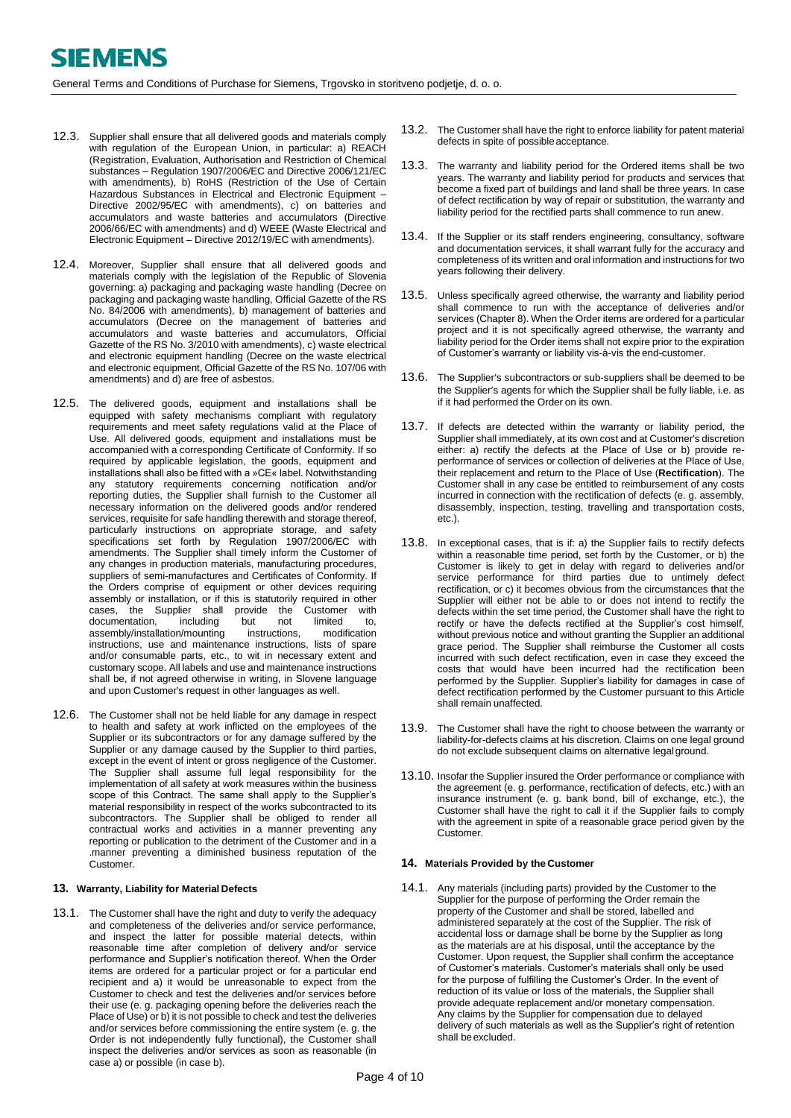- <span id="page-3-3"></span><span id="page-3-1"></span><span id="page-3-0"></span>12.3. Supplier shall ensure that all delivered goods and materials comply with regulation of the European Union, in particular: a) REACH (Registration, Evaluation, Authorisation and Restriction of Chemical substances – Regulation 1907/2006/EC and Directive 2006/121/EC with amendments), b) RoHS (Restriction of the Use of Certain Hazardous Substances in Electrical and Electronic Equipment – Directive 2002/95/EC with amendments), c) on batteries and accumulators and waste batteries and accumulators (Directive 2006/66/EC with amendments) and d) WEEE (Waste Electrical and Electronic Equipment – Directive 2012/19/EC with amendments).
- 12.4. Moreover, Supplier shall ensure that all delivered goods and materials comply with the legislation of the Republic of Slovenia governing: a) packaging and packaging waste handling (Decree on packaging and packaging waste handling, Official Gazette of the RS No. 84/2006 with amendments), b) management of batteries and accumulators (Decree on the management of batteries and accumulators and waste batteries and accumulators, Official Gazette of the RS No. 3/2010 with amendments), c) waste electrical and electronic equipment handling (Decree on the waste electrical and electronic equipment, Official Gazette of the RS No. 107/06 with amendments) and d) are free of asbestos.
- 12.5. The delivered goods, equipment and installations shall be equipped with safety mechanisms compliant with regulatory requirements and meet safety regulations valid at the Place of Use. All delivered goods, equipment and installations must be accompanied with a corresponding Certificate of Conformity. If so required by applicable legislation, the goods, equipment and installations shall also be fitted with a »CE« label. Notwithstanding any statutory requirements concerning notification and/or reporting duties, the Supplier shall furnish to the Customer all necessary information on the delivered goods and/or rendered services, requisite for safe handling therewith and storage thereof, particularly instructions on appropriate storage, and safety specifications set forth by Regulation 1907/2006/EC with amendments. The Supplier shall timely inform the Customer of any changes in production materials, manufacturing procedures, suppliers of semi-manufactures and Certificates of Conformity. If the Orders comprise of equipment or other devices requiring assembly or installation, or if this is statutorily required in other cases, the Supplier shall provide the Customer with<br>documentation, including but not limited to, documentation, including but not limited to,<br>assembly/installation/mounting instructions, modification assembly/installation/mounting instructions, use and maintenance instructions, lists of spare and/or consumable parts, etc., to wit in necessary extent and customary scope. All labels and use and maintenance instructions shall be, if not agreed otherwise in writing, in Slovene language and upon Customer's request in other languages as well.
- 12.6. The Customer shall not be held liable for any damage in respect to health and safety at work inflicted on the employees of the Supplier or its subcontractors or for any damage suffered by the Supplier or any damage caused by the Supplier to third parties, except in the event of intent or gross negligence of the Customer. The Supplier shall assume full legal responsibility for the implementation of all safety at work measures within the business scope of this Contract. The same shall apply to the Supplier's material responsibility in respect of the works subcontracted to its subcontractors. The Supplier shall be obliged to render all contractual works and activities in a manner preventing any reporting or publication to the detriment of the Customer and in a .manner preventing a diminished business reputation of the Customer.

## <span id="page-3-4"></span><span id="page-3-2"></span>**13. Warranty, Liability for Material Defects**

13.1. The Customer shall have the right and duty to verify the adequacy and completeness of the deliveries and/or service performance, and inspect the latter for possible material detects, within reasonable time after completion of delivery and/or service performance and Supplier's notification thereof. When the Order items are ordered for a particular project or for a particular end recipient and a) it would be unreasonable to expect from the Customer to check and test the deliveries and/or services before their use (e. g. packaging opening before the deliveries reach the Place of Use) or b) it is not possible to check and test the deliveries and/or services before commissioning the entire system (e. g. the Order is not independently fully functional), the Customer shall inspect the deliveries and/or services as soon as reasonable (in case a) or possible (in case b).

- 13.2. The Customer shall have the right to enforce liability for patent material defects in spite of possible acceptance.
- 13.3. The warranty and liability period for the Ordered items shall be two years. The warranty and liability period for products and services that become a fixed part of buildings and land shall be three years. In case of defect rectification by way of repair or substitution, the warranty and liability period for the rectified parts shall commence to run anew.
- 13.4. If the Supplier or its staff renders engineering, consultancy, software and documentation services, it shall warrant fully for the accuracy and completeness of its written and oral information and instructions for two years following their delivery.
- 13.5. Unless specifically agreed otherwise, the warranty and liability period shall commence to run with the acceptance of deliveries and/or services (Chapter 8). When the Order items are ordered for a particular project and it is not specifically agreed otherwise, the warranty and liability period for the Order items shall not expire prior to the expiration of Customer's warranty or liability vis-à-vis the end-customer.
- 13.6. The Supplier's subcontractors or sub-suppliers shall be deemed to be the Supplier's agents for which the Supplier shall be fully liable, i.e. as if it had performed the Order on its own.
- 13.7. If defects are detected within the warranty or liability period, the Supplier shall immediately, at its own cost and at Customer's discretion either: a) rectify the defects at the Place of Use or b) provide reperformance of services or collection of deliveries at the Place of Use, their replacement and return to the Place of Use (**Rectification**). The Customer shall in any case be entitled to reimbursement of any costs incurred in connection with the rectification of defects (e. g. assembly, disassembly, inspection, testing, travelling and transportation costs, etc.).
- 13.8. In exceptional cases, that is if: a) the Supplier fails to rectify defects within a reasonable time period, set forth by the Customer, or b) the Customer is likely to get in delay with regard to deliveries and/or service performance for third parties due to untimely defect rectification, or c) it becomes obvious from the circumstances that the Supplier will either not be able to or does not intend to rectify the defects within the set time period, the Customer shall have the right to rectify or have the defects rectified at the Supplier's cost himself, without previous notice and without granting the Supplier an additional grace period. The Supplier shall reimburse the Customer all costs incurred with such defect rectification, even in case they exceed the costs that would have been incurred had the rectification been performed by the Supplier. Supplier's liability for damages in case of defect rectification performed by the Customer pursuant to this Article shall remain unaffected.
- 13.9. The Customer shall have the right to choose between the warranty or liability-for-defects claims at his discretion. Claims on one legal ground do not exclude subsequent claims on alternative legal ground.
- 13.10. Insofar the Supplier insured the Order performance or compliance with the agreement (e. g. performance, rectification of defects, etc.) with an insurance instrument (e. g. bank bond, bill of exchange, etc.), the Customer shall have the right to call it if the Supplier fails to comply with the agreement in spite of a reasonable grace period given by the Customer.

#### **14. Materials Provided by the Customer**

14.1. Any materials (including parts) provided by the Customer to the Supplier for the purpose of performing the Order remain the property of the Customer and shall be stored, labelled and administered separately at the cost of the Supplier. The risk of accidental loss or damage shall be borne by the Supplier as long as the materials are at his disposal, until the acceptance by the Customer. Upon request, the Supplier shall confirm the acceptance of Customer's materials. Customer's materials shall only be used for the purpose of fulfilling the Customer's Order. In the event of reduction of its value or loss of the materials, the Supplier shall provide adequate replacement and/or monetary compensation. Any claims by the Supplier for compensation due to delayed delivery of such materials as well as the Supplier's right of retention shall be excluded.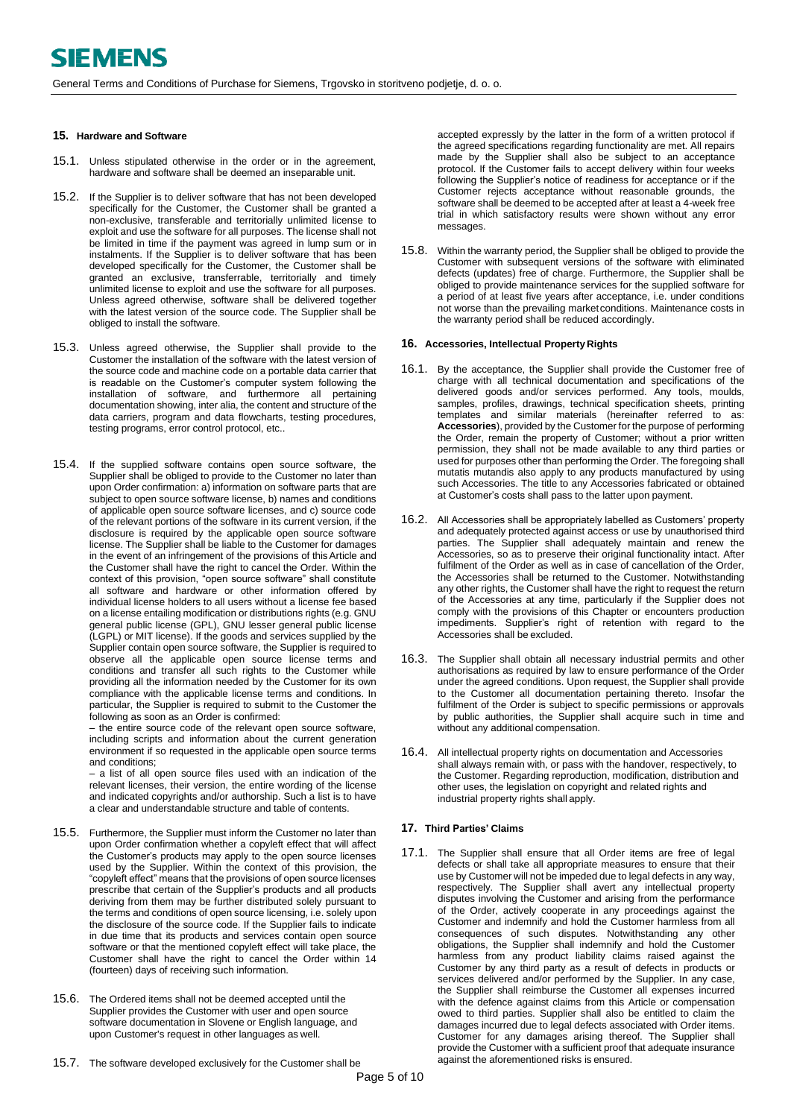General Terms and Conditions of Purchase for Siemens, Trgovsko in storitveno podjetje, d. o. o.

## **15. Hardware and Software**

- 15.1. Unless stipulated otherwise in the order or in the agreement, hardware and software shall be deemed an inseparable unit.
- 15.2. If the Supplier is to deliver software that has not been developed specifically for the Customer, the Customer shall be granted a non-exclusive, transferable and territorially unlimited license to exploit and use the software for all purposes. The license shall not be limited in time if the payment was agreed in lump sum or in instalments. If the Supplier is to deliver software that has been developed specifically for the Customer, the Customer shall be granted an exclusive, transferrable, territorially and timely unlimited license to exploit and use the software for all purposes. Unless agreed otherwise, software shall be delivered together with the latest version of the source code. The Supplier shall be obliged to install the software.
- 15.3. Unless agreed otherwise, the Supplier shall provide to the Customer the installation of the software with the latest version of the source code and machine code on a portable data carrier that is readable on the Customer's computer system following the installation of software, and furthermore all pertaining documentation showing, inter alia, the content and structure of the data carriers, program and data flowcharts, testing procedures, testing programs, error control protocol, etc..
- <span id="page-4-0"></span>15.4. If the supplied software contains open source software, the Supplier shall be obliged to provide to the Customer no later than upon Order confirmation: a) information on software parts that are subject to open source software license, b) names and conditions of applicable open source software licenses, and c) source code of the relevant portions of the software in its current version, if the disclosure is required by the applicable open source software license. The Supplier shall be liable to the Customer for damages in the event of an infringement of the provisions of this Article and the Customer shall have the right to cancel the Order. Within the context of this provision, "open source software" shall constitute all software and hardware or other information offered by individual license holders to all users without a license fee based on a license entailing modification or distributions rights (e.g. GNU general public license (GPL), GNU lesser general public license (LGPL) or MIT license). If the goods and services supplied by the Supplier contain open source software, the Supplier is required to observe all the applicable open source license terms and conditions and transfer all such rights to the Customer while providing all the information needed by the Customer for its own compliance with the applicable license terms and conditions. In particular, the Supplier is required to submit to the Customer the following as soon as an Order is confirmed:

– the entire source code of the relevant open source software, including scripts and information about the current generation environment if so requested in the applicable open source terms and conditions;

– a list of all open source files used with an indication of the relevant licenses, their version, the entire wording of the license and indicated copyrights and/or authorship. Such a list is to have a clear and understandable structure and table of contents.

- 15.5. Furthermore, the Supplier must inform the Customer no later than upon Order confirmation whether a copyleft effect that will affect the Customer's products may apply to the open source licenses used by the Supplier. Within the context of this provision, the "copyleft effect" means that the provisions of open source licenses prescribe that certain of the Supplier's products and all products deriving from them may be further distributed solely pursuant to the terms and conditions of open source licensing, i.e. solely upon the disclosure of the source code. If the Supplier fails to indicate in due time that its products and services contain open source software or that the mentioned copyleft effect will take place, the Customer shall have the right to cancel the Order within 14 (fourteen) days of receiving such information.
- 15.6. The Ordered items shall not be deemed accepted until the Supplier provides the Customer with user and open source software documentation in Slovene or English language, and upon Customer's request in other languages as well.
- 15.7. The software developed exclusively for the Customer shall be

accepted expressly by the latter in the form of a written protocol if the agreed specifications regarding functionality are met. All repairs made by the Supplier shall also be subject to an acceptance protocol. If the Customer fails to accept delivery within four weeks following the Supplier's notice of readiness for acceptance or if the Customer rejects acceptance without reasonable grounds, the software shall be deemed to be accepted after at least a 4-week free trial in which satisfactory results were shown without any error messages.

15.8. Within the warranty period, the Supplier shall be obliged to provide the Customer with subsequent versions of the software with eliminated defects (updates) free of charge. Furthermore, the Supplier shall be obliged to provide maintenance services for the supplied software for a period of at least five years after acceptance, i.e. under conditions not worse than the prevailing marketconditions. Maintenance costs in the warranty period shall be reduced accordingly.

#### **16. Accessories, Intellectual Property Rights**

- 16.1. By the acceptance, the Supplier shall provide the Customer free of charge with all technical documentation and specifications of the delivered goods and/or services performed. Any tools, moulds, samples, profiles, drawings, technical specification sheets, printing templates and similar materials (hereinafter referred to as: **Accessories**), provided by the Customer for the purpose of performing the Order, remain the property of Customer; without a prior written permission, they shall not be made available to any third parties or used for purposes other than performing the Order. The foregoing shall mutatis mutandis also apply to any products manufactured by using such Accessories. The title to any Accessories fabricated or obtained at Customer's costs shall pass to the latter upon payment.
- 16.2. All Accessories shall be appropriately labelled as Customers' property and adequately protected against access or use by unauthorised third parties. The Supplier shall adequately maintain and renew the Accessories, so as to preserve their original functionality intact. After fulfilment of the Order as well as in case of cancellation of the Order, the Accessories shall be returned to the Customer. Notwithstanding any other rights, the Customer shall have the right to request the return of the Accessories at any time, particularly if the Supplier does not comply with the provisions of this Chapter or encounters production impediments. Supplier's right of retention with regard to the Accessories shall be excluded.
- 16.3. The Supplier shall obtain all necessary industrial permits and other authorisations as required by law to ensure performance of the Order under the agreed conditions. Upon request, the Supplier shall provide to the Customer all documentation pertaining thereto. Insofar the fulfilment of the Order is subject to specific permissions or approvals by public authorities, the Supplier shall acquire such in time and without any additional compensation.
- 16.4. All intellectual property rights on documentation and Accessories shall always remain with, or pass with the handover, respectively, to the Customer. Regarding reproduction, modification, distribution and other uses, the legislation on copyright and related rights and industrial property rights shall apply.

#### **17. Third Parties' Claims**

<span id="page-4-1"></span>17.1. The Supplier shall ensure that all Order items are free of legal defects or shall take all appropriate measures to ensure that their use by Customer will not be impeded due to legal defects in any way, respectively. The Supplier shall avert any intellectual property disputes involving the Customer and arising from the performance of the Order, actively cooperate in any proceedings against the Customer and indemnify and hold the Customer harmless from all consequences of such disputes. Notwithstanding any other obligations, the Supplier shall indemnify and hold the Customer harmless from any product liability claims raised against the Customer by any third party as a result of defects in products or services delivered and/or performed by the Supplier. In any case, the Supplier shall reimburse the Customer all expenses incurred with the defence against claims from this Article or compensation owed to third parties. Supplier shall also be entitled to claim the damages incurred due to legal defects associated with Order items. Customer for any damages arising thereof. The Supplier shall provide the Customer with a sufficient proof that adequate insurance against the aforementioned risks is ensured.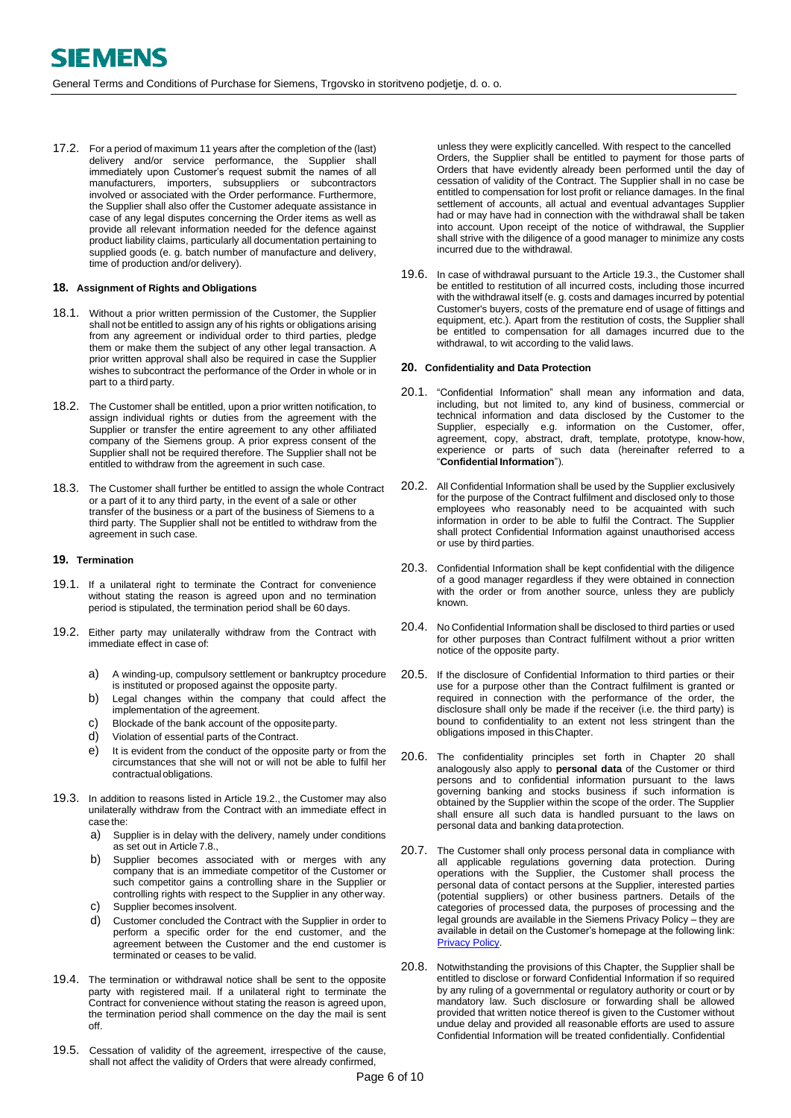<span id="page-5-0"></span>17.2. For a period of maximum 11 years after the completion of the (last) delivery and/or service performance, the Supplier shall immediately upon Customer's request submit the names of all manufacturers, importers, subsuppliers or subcontractors involved or associated with the Order performance. Furthermore, the Supplier shall also offer the Customer adequate assistance in case of any legal disputes concerning the Order items as well as provide all relevant information needed for the defence against product liability claims, particularly all documentation pertaining to supplied goods (e. g. batch number of manufacture and delivery, time of production and/or delivery).

#### <span id="page-5-1"></span>**18. Assignment of Rights and Obligations**

- 18.1. Without a prior written permission of the Customer, the Supplier shall not be entitled to assign any of his rights or obligations arising from any agreement or individual order to third parties, pledge them or make them the subject of any other legal transaction. A prior written approval shall also be required in case the Supplier wishes to subcontract the performance of the Order in whole or in part to a third party.
- 18.2. The Customer shall be entitled, upon a prior written notification, to assign individual rights or duties from the agreement with the Supplier or transfer the entire agreement to any other affiliated company of the Siemens group. A prior express consent of the Supplier shall not be required therefore. The Supplier shall not be entitled to withdraw from the agreement in such case.
- 18.3. The Customer shall further be entitled to assign the whole Contract or a part of it to any third party, in the event of a sale or other transfer of the business or a part of the business of Siemens to a third party. The Supplier shall not be entitled to withdraw from the agreement in such case.

## <span id="page-5-2"></span>**19. Termination**

- 19.1. If a unilateral right to terminate the Contract for convenience without stating the reason is agreed upon and no termination period is stipulated, the termination period shall be 60 days.
- <span id="page-5-3"></span>19.2. Either party may unilaterally withdraw from the Contract with immediate effect in case of:
	- a) A winding-up, compulsory settlement or bankruptcy procedure is instituted or proposed against the opposite party.
	- b) Legal changes within the company that could affect the implementation of the agreement.
	- c) Blockade of the bank account of the oppositeparty.
	- d) Violation of essential parts of the Contract.
	- e) It is evident from the conduct of the opposite party or from the circumstances that she will not or will not be able to fulfil her contractual obligations.
- 19.3. In addition to reasons listed in Article [19.2.,](#page-5-3) the Customer may also unilaterally withdraw from the Contract with an immediate effect in case the:
	- a) Supplier is in delay with the delivery, namely under conditions as set out in Article [7.8.,](#page-2-3)
	- b) Supplier becomes associated with or merges with any company that is an immediate competitor of the Customer or such competitor gains a controlling share in the Supplier or controlling rights with respect to the Supplier in any otherway.
	- c) Supplier becomes insolvent.
	- d) Customer concluded the Contract with the Supplier in order to perform a specific order for the end customer, and the agreement between the Customer and the end customer is terminated or ceases to be valid.
- 19.4. The termination or withdrawal notice shall be sent to the opposite party with registered mail. If a unilateral right to terminate the Contract for convenience without stating the reason is agreed upon, the termination period shall commence on the day the mail is sent off.
- 19.5. Cessation of validity of the agreement, irrespective of the cause, shall not affect the validity of Orders that were already confirmed,

unless they were explicitly cancelled. With respect to the cancelled Orders, the Supplier shall be entitled to payment for those parts of Orders that have evidently already been performed until the day of cessation of validity of the Contract. The Supplier shall in no case be entitled to compensation for lost profit or reliance damages. In the final settlement of accounts, all actual and eventual advantages Supplier had or may have had in connection with the withdrawal shall be taken into account. Upon receipt of the notice of withdrawal, the Supplier shall strive with the diligence of a good manager to minimize any costs incurred due to the withdrawal.

19.6. In case of withdrawal pursuant to the Article [19.3.,](#page-8-3) the Customer shall be entitled to restitution of all incurred costs, including those incurred with the withdrawal itself (e. g. costs and damages incurred by potential Customer's buyers, costs of the premature end of usage of fittings and equipment, etc.). Apart from the restitution of costs, the Supplier shall be entitled to compensation for all damages incurred due to the withdrawal, to wit according to the valid laws.

#### **20. Confidentiality and Data Protection**

- 20.1. "Confidential Information" shall mean any information and data, including, but not limited to, any kind of business, commercial or technical information and data disclosed by the Customer to the Supplier, especially e.g. information on the Customer, offer, agreement, copy, abstract, draft, template, prototype, know-how, experience or parts of such data (hereinafter referred to a "**Confidential Information**").
- 20.2. All Confidential Information shall be used by the Supplier exclusively for the purpose of the Contract fulfilment and disclosed only to those employees who reasonably need to be acquainted with such information in order to be able to fulfil the Contract. The Supplier shall protect Confidential Information against unauthorised access or use by third parties.
- 20.3. Confidential Information shall be kept confidential with the diligence of a good manager regardless if they were obtained in connection with the order or from another source, unless they are publicly known.
- 20.4. No Confidential Information shall be disclosed to third parties or used for other purposes than Contract fulfilment without a prior written notice of the opposite party.
- 20.5. If the disclosure of Confidential Information to third parties or their use for a purpose other than the Contract fulfilment is granted or required in connection with the performance of the order, the disclosure shall only be made if the receiver (i.e. the third party) is bound to confidentiality to an extent not less stringent than the obligations imposed in thisChapter.
- 20.6. The confidentiality principles set forth in Chapter [20](#page-8-0) shall analogously also apply to **personal data** of the Customer or third persons and to confidential information pursuant to the laws governing banking and stocks business if such information is obtained by the Supplier within the scope of the order. The Supplier shall ensure all such data is handled pursuant to the laws on personal data and banking dataprotection.
- 20.7. The Customer shall only process personal data in compliance with all applicable regulations governing data protection. During operations with the Supplier, the Customer shall process the personal data of contact persons at the Supplier, interested parties (potential suppliers) or other business partners. Details of the categories of processed data, the purposes of processing and the legal grounds are available in the Siemens Privacy Policy – they are available in detail on the Customer's homepage at the following link: [Privacy Policy.](https://new.siemens.com/global/en/general/privacy-notice.html)
- 20.8. Notwithstanding the provisions of this Chapter, the Supplier shall be entitled to disclose or forward Confidential Information if so required by any ruling of a governmental or regulatory authority or court or by mandatory law. Such disclosure or forwarding shall be allowed provided that written notice thereof is given to the Customer without undue delay and provided all reasonable efforts are used to assure Confidential Information will be treated confidentially. Confidential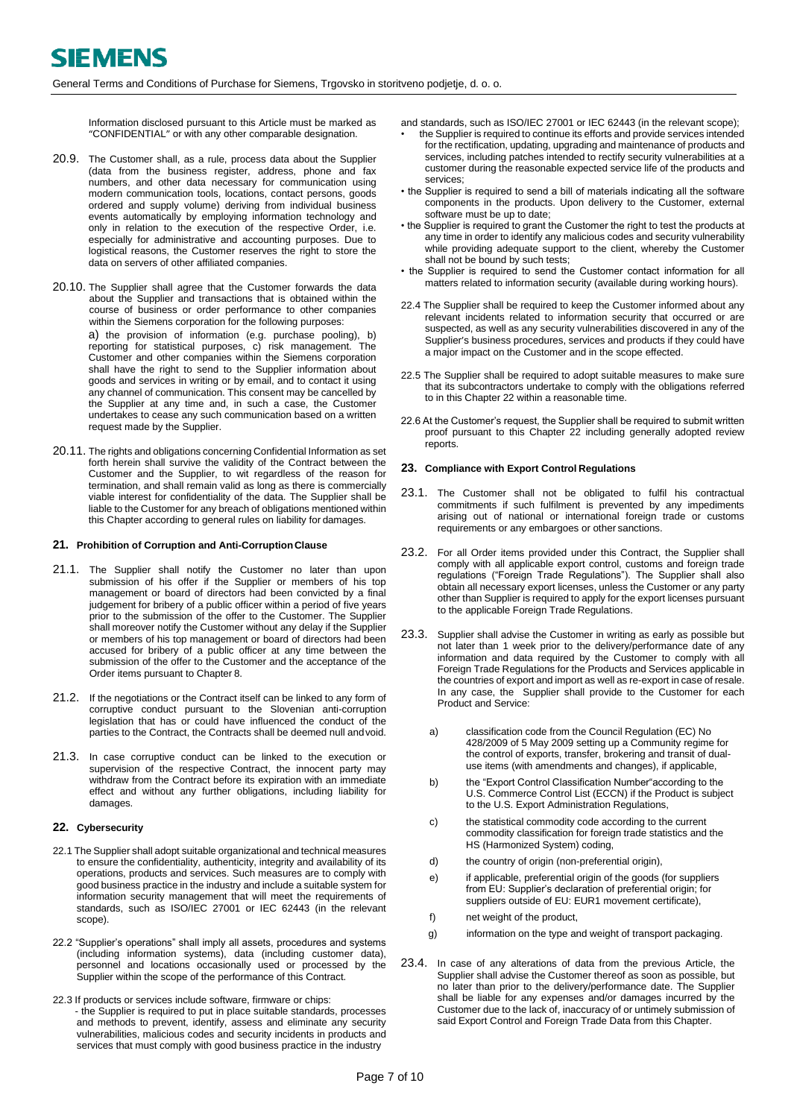Information disclosed pursuant to this Article must be marked as "CONFIDENTIAL" or with any other comparable designation.

- 20.9. The Customer shall, as a rule, process data about the Supplier (data from the business register, address, phone and fax numbers, and other data necessary for communication using modern communication tools, locations, contact persons, goods ordered and supply volume) deriving from individual business events automatically by employing information technology and only in relation to the execution of the respective Order, i.e. especially for administrative and accounting purposes. Due to logistical reasons, the Customer reserves the right to store the data on servers of other affiliated companies.
- 20.10. The Supplier shall agree that the Customer forwards the data about the Supplier and transactions that is obtained within the course of business or order performance to other companies within the Siemens corporation for the following purposes: a) the provision of information (e.g. purchase pooling), b) reporting for statistical purposes, c) risk management. The Customer and other companies within the Siemens corporation shall have the right to send to the Supplier information about goods and services in writing or by email, and to contact it using any channel of communication. This consent may be cancelled by the Supplier at any time and, in such a case, the Customer undertakes to cease any such communication based on a written request made by the Supplier.
- 20.11. The rights and obligations concerning Confidential Information as set forth herein shall survive the validity of the Contract between the Customer and the Supplier, to wit regardless of the reason for termination, and shall remain valid as long as there is commercially viable interest for confidentiality of the data. The Supplier shall be liable to the Customer for any breach of obligations mentioned within this Chapter according to general rules on liability for damages.

#### <span id="page-6-0"></span>**21. Prohibition of Corruption and Anti-CorruptionClause**

- 21.1. The Supplier shall notify the Customer no later than upon submission of his offer if the Supplier or members of his top management or board of directors had been convicted by a final judgement for bribery of a public officer within a period of five years prior to the submission of the offer to the Customer. The Supplier shall moreover notify the Customer without any delay if the Supplier or members of his top management or board of directors had been accused for bribery of a public officer at any time between the submission of the offer to the Customer and the acceptance of the Order items pursuant to Chapter 8.
- 21.2. If the negotiations or the Contract itself can be linked to any form of corruptive conduct pursuant to the Slovenian anti-corruption legislation that has or could have influenced the conduct of the parties to the Contract, the Contracts shall be deemed null andvoid.
- 21.3. In case corruptive conduct can be linked to the execution or supervision of the respective Contract, the innocent party may withdraw from the Contract before its expiration with an immediate effect and without any further obligations, including liability for damages.

#### **22. Cybersecurity**

- 22.1 The Supplier shall adopt suitable organizational and technical measures to ensure the confidentiality, authenticity, integrity and availability of its operations, products and services. Such measures are to comply with good business practice in the industry and include a suitable system for information security management that will meet the requirements of standards, such as ISO/IEC 27001 or IEC 62443 (in the relevant scope).
- 22.2 "Supplier's operations" shall imply all assets, procedures and systems (including information systems), data (including customer data), personnel and locations occasionally used or processed by the Supplier within the scope of the performance of this Contract.
- 22.3 If products or services include software, firmware or chips: - the Supplier is required to put in place suitable standards, processes and methods to prevent, identify, assess and eliminate any security vulnerabilities, malicious codes and security incidents in products and services that must comply with good business practice in the industry

and standards, such as ISO/IEC 27001 or IEC 62443 (in the relevant scope);

- the Supplier is required to continue its efforts and provide services intended for the rectification, updating, upgrading and maintenance of products and services, including patches intended to rectify security vulnerabilities at a customer during the reasonable expected service life of the products and services;
- the Supplier is required to send a bill of materials indicating all the software components in the products. Upon delivery to the Customer, external software must be up to date;
- the Supplier is required to grant the Customer the right to test the products at any time in order to identify any malicious codes and security vulnerability while providing adequate support to the client, whereby the Customer shall not be bound by such tests;
- the Supplier is required to send the Customer contact information for all matters related to information security (available during working hours).
- 22.4 The Supplier shall be required to keep the Customer informed about any relevant incidents related to information security that occurred or are suspected, as well as any security vulnerabilities discovered in any of the Supplier's business procedures, services and products if they could have a major impact on the Customer and in the scope effected.
- 22.5 The Supplier shall be required to adopt suitable measures to make sure that its subcontractors undertake to comply with the obligations referred to in this Chapter 22 within a reasonable time.
- 22.6 At the Customer's request, the Supplier shall be required to submit written proof pursuant to this Chapter 22 including generally adopted review reports.

#### **23. Compliance with Export Control Regulations**

- 23.1. The Customer shall not be obligated to fulfil his contractual commitments if such fulfilment is prevented by any impediments arising out of national or international foreign trade or customs requirements or any embargoes or other sanctions.
- <span id="page-6-2"></span>23.2. For all Order items provided under this Contract, the Supplier shall comply with all applicable export control, customs and foreign trade regulations ("Foreign Trade Regulations"). The Supplier shall also obtain all necessary export licenses, unless the Customer or any party other than Supplier is required to apply for the export licenses pursuant to the applicable Foreign Trade Regulations.
- <span id="page-6-1"></span>23.3. Supplier shall advise the Customer in writing as early as possible but not later than 1 week prior to the delivery/performance date of any information and data required by the Customer to comply with all Foreign Trade Regulations for the Products and Services applicable in the countries of export and import as well as re-export in case of resale. In any case, the Supplier shall provide to the Customer for each Product and Service:
	- a) classification code from the Council Regulation (EC) No 428/2009 of 5 May 2009 setting up a Community regime for the control of exports, transfer, brokering and transit of dualuse items (with amendments and changes), if applicable,
	- b) the "Export Control Classification Number" according to the U.S. Commerce Control List (ECCN) if the Product is subject to the U.S. Export Administration Regulations,
	- c) the statistical commodity code according to the current commodity classification for foreign trade statistics and the HS (Harmonized System) coding,
	- d) the country of origin (non-preferential origin),
	- e) if applicable, preferential origin of the goods (for suppliers from EU: Supplier's declaration of preferential origin; for suppliers outside of EU: EUR1 movement certificate),
	- f) net weight of the product,
	- g) information on the type and weight of transport packaging.
- 23.4. In case of any alterations of data from the previous Article, the Supplier shall advise the Customer thereof as soon as possible, but no later than prior to the delivery/performance date. The Supplier shall be liable for any expenses and/or damages incurred by the Customer due to the lack of, inaccuracy of or untimely submission of said Export Control and Foreign Trade Data from this Chapter.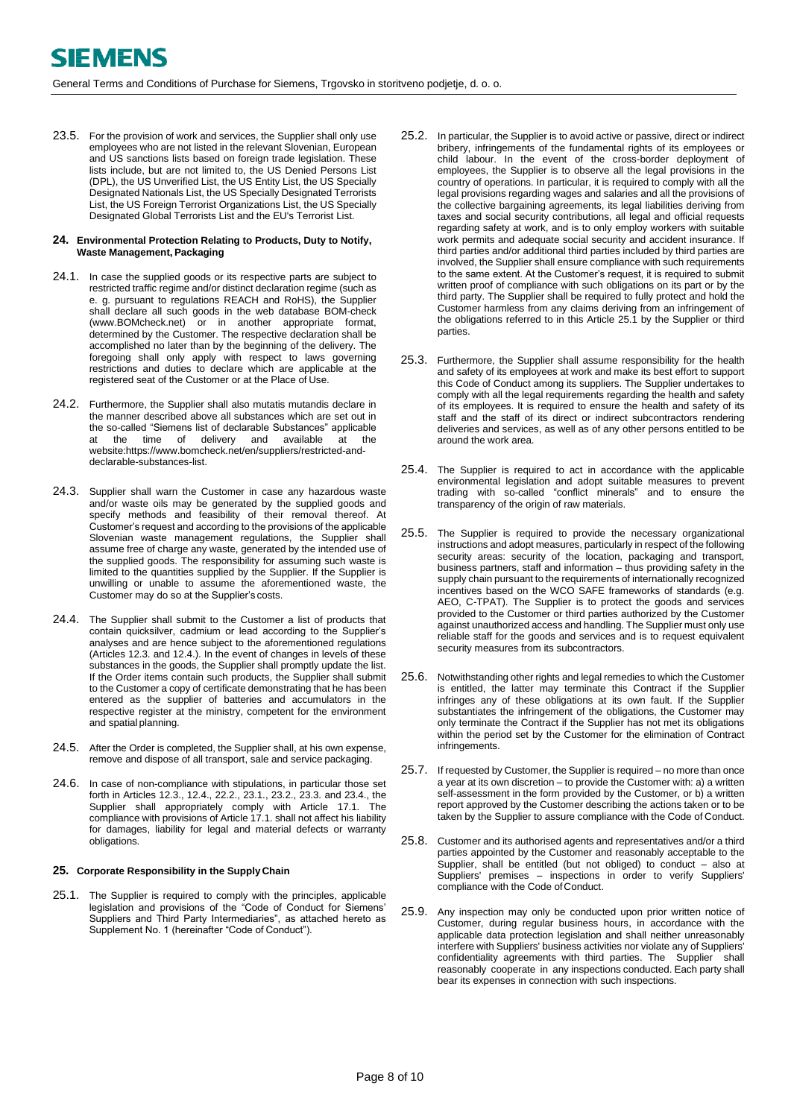23.5. For the provision of work and services, the Supplier shall only use employees who are not listed in the relevant Slovenian, European and US sanctions lists based on foreign trade legislation. These lists include, but are not limited to, the US Denied Persons List (DPL), the US Unverified List, the US Entity List, the US Specially Designated Nationals List, the US Specially Designated Terrorists List, the US Foreign Terrorist Organizations List, the US Specially Designated Global Terrorists List and the EU's Terrorist List.

#### **24. Environmental Protection Relating to Products, Duty to Notify, Waste Management, Packaging**

- <span id="page-7-2"></span>24.1. In case the supplied goods or its respective parts are subject to restricted traffic regime and/or distinct declaration regime (such as e. g. pursuant to regulations REACH and RoHS), the Supplier shall declare all such goods in the web database BOM-check [\(www.BOMcheck.net\)](http://www.bomcheck.net/) or in another appropriate format, determined by the Customer. The respective declaration shall be accomplished no later than by the beginning of the delivery. The foregoing shall only apply with respect to laws governing restrictions and duties to declare which are applicable at the registered seat of the Customer or at the Place of Use.
- <span id="page-7-3"></span>24.2. Furthermore, the Supplier shall also mutatis mutandis declare in the manner described above all substances which are set out in the so-called "Siemens list of declarable Substances" applicable<br>at the time of delivery and available at the at the time of delivery and available at the website:https://www.bomcheck.net/en/suppliers/restricted-anddeclarable-substances-list.
- 24.3. Supplier shall warn the Customer in case any hazardous waste and/or waste oils may be generated by the supplied goods and specify methods and feasibility of their removal thereof. At Customer's request and according to the provisions of the applicable Slovenian waste management regulations, the Supplier shall assume free of charge any waste, generated by the intended use of the supplied goods. The responsibility for assuming such waste is limited to the quantities supplied by the Supplier. If the Supplier is unwilling or unable to assume the aforementioned waste, the Customer may do so at the Supplier's costs.
- 24.4. The Supplier shall submit to the Customer a list of products that contain quicksilver, cadmium or lead according to the Supplier's analyses and are hence subject to the aforementioned regulations (Article[s 12.3.](#page-3-3) an[d 12.4.](#page-3-4)). In the event of changes in levels of these substances in the goods, the Supplier shall promptly update the list. If the Order items contain such products, the Supplier shall submit to the Customer a copy of certificate demonstrating that he has been entered as the supplier of batteries and accumulators in the respective register at the ministry, competent for the environment and spatial planning.
- 24.5. After the Order is completed, the Supplier shall, at his own expense, remove and dispose of all transport, sale and service packaging.
- 24.6. In case of non-compliance with stipulations, in particular those set forth in Article[s 12.3.,](#page-3-3) [12.4.,](#page-3-4) [22.2.,](#page-6-2) [23.1.,](#page-7-2) [23.2.](#page-7-3)[, 23.3.](#page-8-1) and 23.4., the Supplier shall appropriately comply with Article [17.1.](#page-4-1) The compliance with provisions of Articl[e 17.1.](#page-4-1) shall not affect his liability for damages, liability for legal and material defects or warranty obligations.

## **25. Corporate Responsibility in the SupplyChain**

25.1. The Supplier is required to comply with the principles, applicable legislation and provisions of the "Code of Conduct for Siemens' Suppliers and Third Party Intermediaries", as attached hereto as Supplement No. 1 (hereinafter "Code of Conduct").

- <span id="page-7-0"></span>25.2. In particular, the Supplier is to avoid active or passive, direct or indirect bribery, infringements of the fundamental rights of its employees or child labour. In the event of the cross-border deployment of employees, the Supplier is to observe all the legal provisions in the country of operations. In particular, it is required to comply with all the legal provisions regarding wages and salaries and all the provisions of the collective bargaining agreements, its legal liabilities deriving from taxes and social security contributions, all legal and official requests regarding safety at work, and is to only employ workers with suitable work permits and adequate social security and accident insurance. If third parties and/or additional third parties included by third parties are involved, the Supplier shall ensure compliance with such requirements to the same extent. At the Customer's request, it is required to submit written proof of compliance with such obligations on its part or by the third party. The Supplier shall be required to fully protect and hold the Customer harmless from any claims deriving from an infringement of the obligations referred to in this Article 25.1 by the Supplier or third parties.
- <span id="page-7-1"></span>25.3. Furthermore, the Supplier shall assume responsibility for the health and safety of its employees at work and make its best effort to support this Code of Conduct among its suppliers. The Supplier undertakes to comply with all the legal requirements regarding the health and safety of its employees. It is required to ensure the health and safety of its staff and the staff of its direct or indirect subcontractors rendering deliveries and services, as well as of any other persons entitled to be around the work area.
- 25.4. The Supplier is required to act in accordance with the applicable environmental legislation and adopt suitable measures to prevent trading with so-called "conflict minerals" and to ensure the transparency of the origin of raw materials.
- 25.5. The Supplier is required to provide the necessary organizational instructions and adopt measures, particularly in respect of the following security areas: security of the location, packaging and transport, business partners, staff and information – thus providing safety in the supply chain pursuant to the requirements of internationally recognized incentives based on the WCO SAFE frameworks of standards (e.g. AEO, C-TPAT). The Supplier is to protect the goods and services provided to the Customer or third parties authorized by the Customer against unauthorized access and handling. The Supplier must only use reliable staff for the goods and services and is to request equivalent security measures from its subcontractors.
- 25.6. Notwithstanding other rights and legal remedies to which the Customer is entitled, the latter may terminate this Contract if the Supplier infringes any of these obligations at its own fault. If the Supplier substantiates the infringement of the obligations, the Customer may only terminate the Contract if the Supplier has not met its obligations within the period set by the Customer for the elimination of Contract infringements.
- 25.7. If requested by Customer, the Supplier is required no more than once a year at its own discretion – to provide the Customer with: a) a written self-assessment in the form provided by the Customer, or b) a written report approved by the Customer describing the actions taken or to be taken by the Supplier to assure compliance with the Code of Conduct.
- <span id="page-7-4"></span>25.8. Customer and its authorised agents and representatives and/or a third parties appointed by the Customer and reasonably acceptable to the Supplier, shall be entitled (but not obliged) to conduct – also at Suppliers' premises – inspections in order to verify Suppliers' compliance with the Code of Conduct.
- 25.9. Any inspection may only be conducted upon prior written notice of Customer, during regular business hours, in accordance with the applicable data protection legislation and shall neither unreasonably interfere with Suppliers' business activities nor violate any of Suppliers' confidentiality agreements with third parties. The Supplier shall reasonably cooperate in any inspections conducted. Each party shall bear its expenses in connection with such inspections.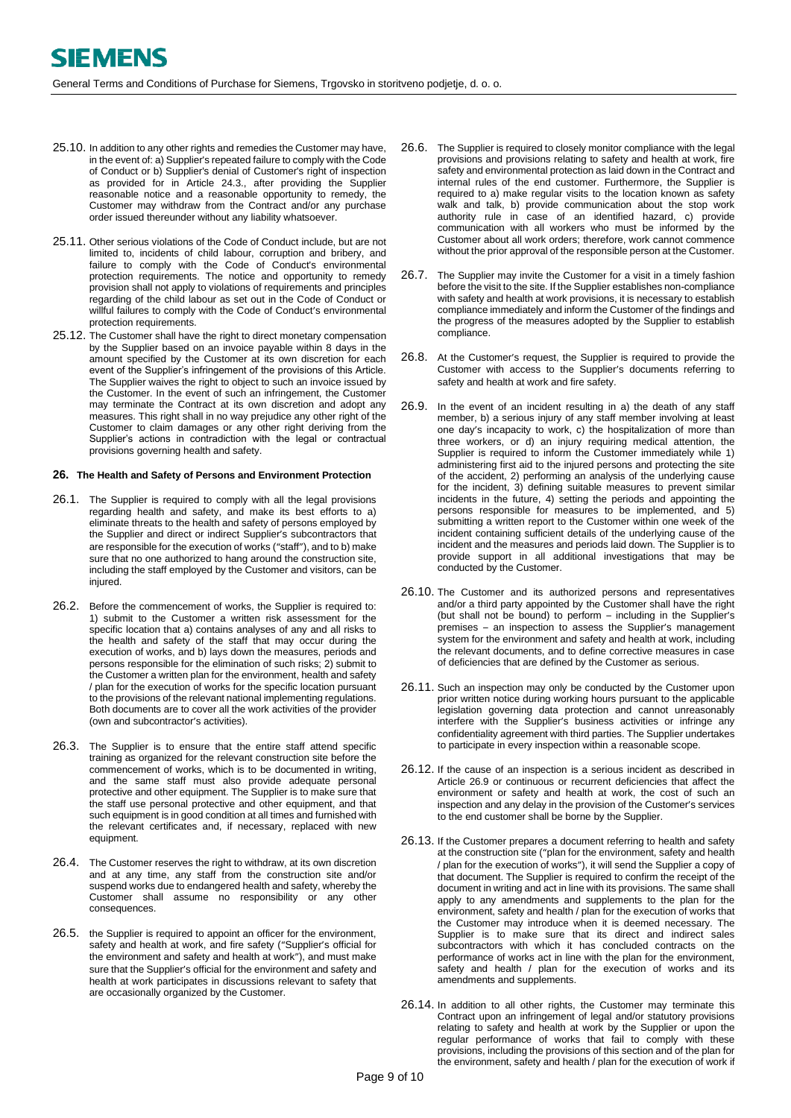- <span id="page-8-3"></span><span id="page-8-1"></span><span id="page-8-0"></span>25.10. In addition to any other rights and remedies the Customer may have, in the event of: a) Supplier's repeated failure to comply with the Code of Conduct or b) Supplier's denial of Customer's right of inspection as provided for in Article [24.3.,](#page-7-4) after providing the Supplier reasonable notice and a reasonable opportunity to remedy, the Customer may withdraw from the Contract and/or any purchase order issued thereunder without any liability whatsoever.
- 25.11. Other serious violations of the Code of Conduct include, but are not limited to, incidents of child labour, corruption and bribery, and failure to comply with the Code of Conduct's environmental protection requirements. The notice and opportunity to remedy provision shall not apply to violations of requirements and principles regarding of the child labour as set out in the Code of Conduct or willful failures to comply with the Code of Conduct's environmental protection requirements.
- 25.12. The Customer shall have the right to direct monetary compensation by the Supplier based on an invoice payable within 8 days in the amount specified by the Customer at its own discretion for each event of the Supplier's infringement of the provisions of this Article. The Supplier waives the right to object to such an invoice issued by the Customer. In the event of such an infringement, the Customer may terminate the Contract at its own discretion and adopt any measures. This right shall in no way prejudice any other right of the Customer to claim damages or any other right deriving from the Supplier's actions in contradiction with the legal or contractual provisions governing health and safety.

#### <span id="page-8-2"></span>**26. The Health and Safety of Persons and Environment Protection**

- 26.1. The Supplier is required to comply with all the legal provisions regarding health and safety, and make its best efforts to a) eliminate threats to the health and safety of persons employed by the Supplier and direct or indirect Supplier's subcontractors that are responsible for the execution of works ("staff"), and to b) make sure that no one authorized to hang around the construction site, including the staff employed by the Customer and visitors, can be injured.
- 26.2. Before the commencement of works, the Supplier is required to: 1) submit to the Customer a written risk assessment for the specific location that a) contains analyses of any and all risks to the health and safety of the staff that may occur during the execution of works, and b) lays down the measures, periods and persons responsible for the elimination of such risks; 2) submit to the Customer a written plan for the environment, health and safety / plan for the execution of works for the specific location pursuant to the provisions of the relevant national implementing regulations. Both documents are to cover all the work activities of the provider (own and subcontractor's activities).
- 26.3. The Supplier is to ensure that the entire staff attend specific training as organized for the relevant construction site before the commencement of works, which is to be documented in writing, and the same staff must also provide adequate personal protective and other equipment. The Supplier is to make sure that the staff use personal protective and other equipment, and that such equipment is in good condition at all times and furnished with the relevant certificates and, if necessary, replaced with new equipment.
- 26.4. The Customer reserves the right to withdraw, at its own discretion and at any time, any staff from the construction site and/or suspend works due to endangered health and safety, whereby the Customer shall assume no responsibility or any other consequences.
- 26.5. the Supplier is required to appoint an officer for the environment, safety and health at work, and fire safety ("Supplier's official for the environment and safety and health at work"), and must make sure that the Supplier's official for the environment and safety and health at work participates in discussions relevant to safety that are occasionally organized by the Customer.
- 26.6. The Supplier is required to closely monitor compliance with the legal provisions and provisions relating to safety and health at work, fire safety and environmental protection as laid down in the Contract and internal rules of the end customer. Furthermore, the Supplier is required to a) make regular visits to the location known as safety walk and talk, b) provide communication about the stop work authority rule in case of an identified hazard, c) provide communication with all workers who must be informed by the Customer about all work orders; therefore, work cannot commence without the prior approval of the responsible person at the Customer.
- 26.7. The Supplier may invite the Customer for a visit in a timely fashion before the visit to the site. If the Supplier establishes non-compliance with safety and health at work provisions, it is necessary to establish compliance immediately and inform the Customer of the findings and the progress of the measures adopted by the Supplier to establish compliance.
- 26.8. At the Customer's request, the Supplier is required to provide the Customer with access to the Supplier's documents referring to safety and health at work and fire safety.
- 26.9. In the event of an incident resulting in a) the death of any staff member, b) a serious injury of any staff member involving at least one day's incapacity to work, c) the hospitalization of more than three workers, or d) an injury requiring medical attention, the Supplier is required to inform the Customer immediately while 1) administering first aid to the injured persons and protecting the site of the accident, 2) performing an analysis of the underlying cause for the incident, 3) defining suitable measures to prevent similar incidents in the future, 4) setting the periods and appointing the persons responsible for measures to be implemented, and 5) submitting a written report to the Customer within one week of the incident containing sufficient details of the underlying cause of the incident and the measures and periods laid down. The Supplier is to provide support in all additional investigations that may be conducted by the Customer.
- 26.10. The Customer and its authorized persons and representatives and/or a third party appointed by the Customer shall have the right (but shall not be bound) to perform – including in the Supplier's premises – an inspection to assess the Supplier's management system for the environment and safety and health at work, including the relevant documents, and to define corrective measures in case of deficiencies that are defined by the Customer as serious.
- 26.11. Such an inspection may only be conducted by the Customer upon prior written notice during working hours pursuant to the applicable legislation governing data protection and cannot unreasonably interfere with the Supplier's business activities or infringe any confidentiality agreement with third parties. The Supplier undertakes to participate in every inspection within a reasonable scope.
- 26.12. If the cause of an inspection is a serious incident as described in Article 26.9 or continuous or recurrent deficiencies that affect the environment or safety and health at work, the cost of such an inspection and any delay in the provision of the Customer's services to the end customer shall be borne by the Supplier.
- 26.13. If the Customer prepares a document referring to health and safety at the construction site ("plan for the environment, safety and health / plan for the execution of works"), it will send the Supplier a copy of that document. The Supplier is required to confirm the receipt of the document in writing and act in line with its provisions. The same shall apply to any amendments and supplements to the plan for the environment, safety and health / plan for the execution of works that the Customer may introduce when it is deemed necessary. The Supplier is to make sure that its direct and indirect sales subcontractors with which it has concluded contracts on the performance of works act in line with the plan for the environment, safety and health / plan for the execution of works and its amendments and supplements.
- 26.14. In addition to all other rights, the Customer may terminate this Contract upon an infringement of legal and/or statutory provisions relating to safety and health at work by the Supplier or upon the regular performance of works that fail to comply with these provisions, including the provisions of this section and of the plan for the environment, safety and health / plan for the execution of work if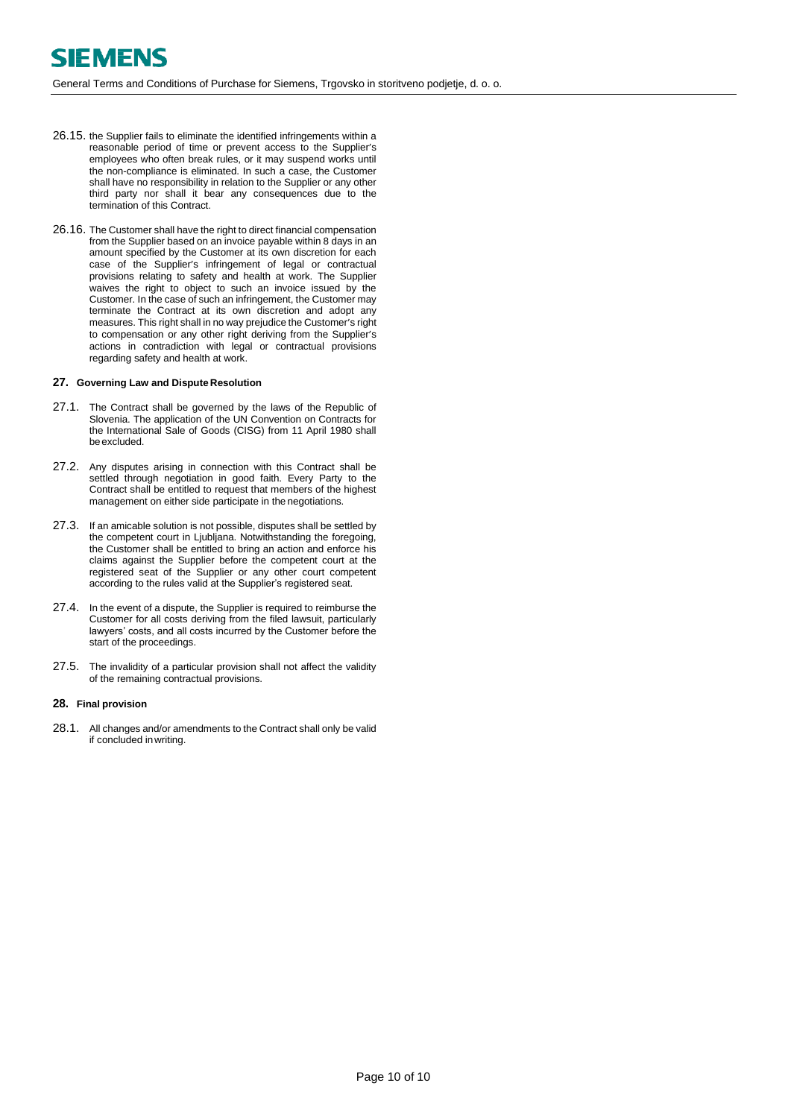General Terms and Conditions of Purchase for Siemens, Trgovsko in storitveno podjetje, d. o. o.

- 26.15. the Supplier fails to eliminate the identified infringements within a reasonable period of time or prevent access to the Supplier's employees who often break rules, or it may suspend works until the non-compliance is eliminated. In such a case, the Customer shall have no responsibility in relation to the Supplier or any other third party nor shall it bear any consequences due to the termination of this Contract.
- 26.16. The Customer shall have the right to direct financial compensation from the Supplier based on an invoice payable within 8 days in an amount specified by the Customer at its own discretion for each case of the Supplier's infringement of legal or contractual provisions relating to safety and health at work. The Supplier waives the right to object to such an invoice issued by the Customer. In the case of such an infringement, the Customer may terminate the Contract at its own discretion and adopt any measures. This right shall in no way prejudice the Customer's right to compensation or any other right deriving from the Supplier's actions in contradiction with legal or contractual provisions regarding safety and health at work.

#### **27. Governing Law and Dispute Resolution**

- 27.1. The Contract shall be governed by the laws of the Republic of Slovenia. The application of the UN Convention on Contracts for the International Sale of Goods (CISG) from 11 April 1980 shall be excluded.
- 27.2. Any disputes arising in connection with this Contract shall be settled through negotiation in good faith. Every Party to the Contract shall be entitled to request that members of the highest management on either side participate in the negotiations.
- 27.3. If an amicable solution is not possible, disputes shall be settled by the competent court in Ljubljana. Notwithstanding the foregoing, the Customer shall be entitled to bring an action and enforce his claims against the Supplier before the competent court at the registered seat of the Supplier or any other court competent according to the rules valid at the Supplier's registered seat.
- 27.4. In the event of a dispute, the Supplier is required to reimburse the Customer for all costs deriving from the filed lawsuit, particularly lawyers' costs, and all costs incurred by the Customer before the start of the proceedings.
- 27.5. The invalidity of a particular provision shall not affect the validity of the remaining contractual provisions.

#### <span id="page-9-0"></span>**28. Final provision**

28.1. All changes and/or amendments to the Contract shall only be valid if concluded inwriting.